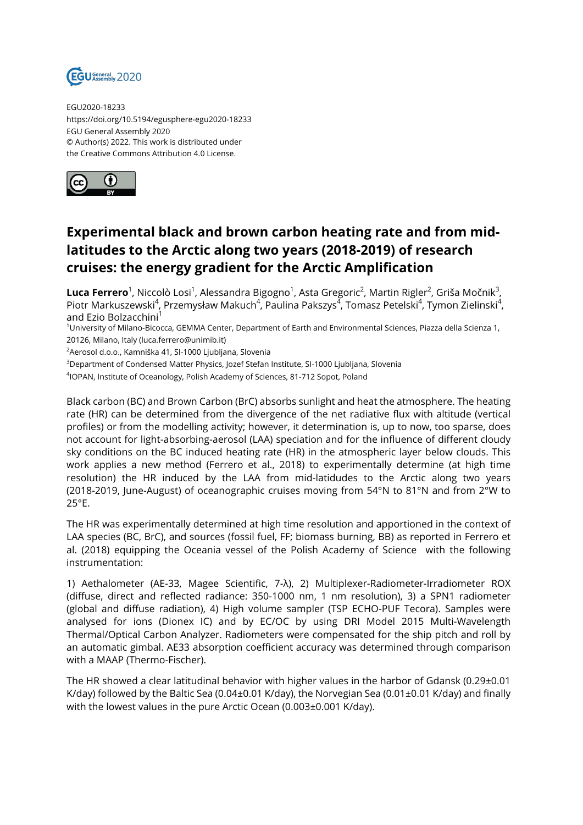

EGU2020-18233 https://doi.org/10.5194/egusphere-egu2020-18233 EGU General Assembly 2020 © Author(s) 2022. This work is distributed under the Creative Commons Attribution 4.0 License.



## **Experimental black and brown carbon heating rate and from midlatitudes to the Arctic along two years (2018-2019) of research cruises: the energy gradient for the Arctic Amplification**

 ${\sf Luca~Ferrero}^1$ , Niccolò Losi $^1$ , Alessandra Bigogno $^1$ , Asta Gregoric $^2$ , Martin Rigler $^2$ , Griša Močnik $^3$ , Piotr Markuszewski<sup>4</sup>, Przemysław Makuch<sup>4</sup>, Paulina Pakszys<sup>4</sup>, Tomasz Petelski<sup>4</sup>, Tymon Zielinski<sup>4</sup>, and Ezio Bolzacchini<sup>1</sup>

<sup>1</sup>University of Milano-Bicocca, GEMMA Center, Department of Earth and Environmental Sciences, Piazza della Scienza 1, 20126, Milano, Italy (luca.ferrero@unimib.it)

<sup>2</sup> Aerosol d.o.o., Kamniška 41, SI-1000 Liubliana, Slovenia

<sup>3</sup>Department of Condensed Matter Physics, Jozef Stefan Institute, SI-1000 Ljubljana, Slovenia

4 IOPAN, Institute of Oceanology, Polish Academy of Sciences, 81-712 Sopot, Poland

Black carbon (BC) and Brown Carbon (BrC) absorbs sunlight and heat the atmosphere. The heating rate (HR) can be determined from the divergence of the net radiative flux with altitude (vertical profiles) or from the modelling activity; however, it determination is, up to now, too sparse, does not account for light-absorbing-aerosol (LAA) speciation and for the influence of different cloudy sky conditions on the BC induced heating rate (HR) in the atmospheric layer below clouds. This work applies a new method (Ferrero et al., 2018) to experimentally determine (at high time resolution) the HR induced by the LAA from mid-latidudes to the Arctic along two years (2018-2019, June-August) of oceanographic cruises moving from 54°N to 81°N and from 2°W to 25°E.

The HR was experimentally determined at high time resolution and apportioned in the context of LAA species (BC, BrC), and sources (fossil fuel, FF; biomass burning, BB) as reported in Ferrero et al. (2018) equipping the Oceania vessel of the Polish Academy of Science with the following instrumentation:

1) Aethalometer (AE-33, Magee Scientific, 7-λ), 2) Multiplexer-Radiometer-Irradiometer ROX (diffuse, direct and reflected radiance: 350-1000 nm, 1 nm resolution), 3) a SPN1 radiometer (global and diffuse radiation), 4) High volume sampler (TSP ECHO-PUF Tecora). Samples were analysed for ions (Dionex IC) and by EC/OC by using DRI Model 2015 Multi-Wavelength Thermal/Optical Carbon Analyzer. Radiometers were compensated for the ship pitch and roll by an automatic gimbal. AE33 absorption coefficient accuracy was determined through comparison with a MAAP (Thermo-Fischer).

The HR showed a clear latitudinal behavior with higher values in the harbor of Gdansk (0.29±0.01 K/day) followed by the Baltic Sea (0.04±0.01 K/day), the Norvegian Sea (0.01±0.01 K/day) and finally with the lowest values in the pure Arctic Ocean (0.003±0.001 K/day).